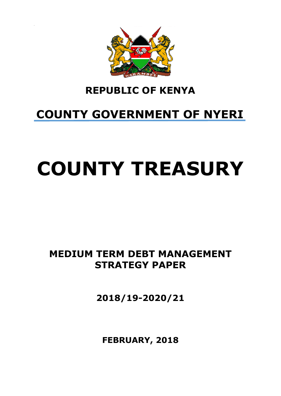

# **REPUBLIC OF KENYA**

# **COUNTY GOVERNMENT OF NYERI**

# **COUNTY TREASURY**

# **MEDIUM TERM DEBT MANAGEMENT STRATEGY PAPER**

**2018/19-2020/21**

**FEBRUARY, 2018**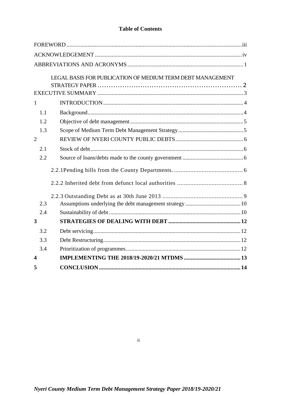## **Table of Contents**

| LEGAL BASIS FOR PUBLICATION OF MEDIUM TERM DEBT MANAGEMENT |
|------------------------------------------------------------|
|                                                            |
|                                                            |
| $\mathbf{1}$                                               |
| 1.1                                                        |
| 1.2                                                        |
| 1.3                                                        |
| $\overline{2}$                                             |
| 2.1                                                        |
| 2.2                                                        |
|                                                            |
|                                                            |
|                                                            |
| 2.3                                                        |
| 2.4                                                        |
| 3                                                          |
| 3.2                                                        |
| 3.3                                                        |
| 3.4                                                        |
| $\boldsymbol{4}$                                           |
| 5                                                          |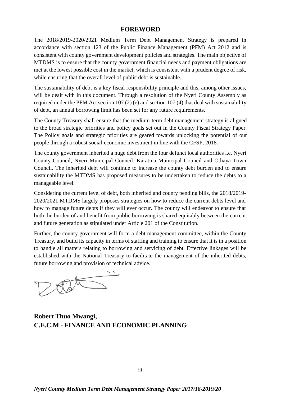#### **FOREWORD**

<span id="page-2-0"></span>The 2018/2019-2020/2021 Medium Term Debt Management Strategy is prepared in accordance with section 123 of the Public Finance Management (PFM) Act 2012 and is consistent with county government development policies and strategies. The main objective of MTDMS is to ensure that the county government financial needs and payment obligations are met at the lowest possible cost in the market, which is consistent with a prudent degree of risk, while ensuring that the overall level of public debt is sustainable.

The sustainability of debt is a key fiscal responsibility principle and this, among other issues, will be dealt with in this document. Through a resolution of the Nyeri County Assembly as required under the PFM Act section 107 (2) (e) and section 107 (4) that deal with sustainability of debt, an annual borrowing limit has been set for any future requirements.

The County Treasury shall ensure that the medium-term debt management strategy is aligned to the broad strategic priorities and policy goals set out in the County Fiscal Strategy Paper. The Policy goals and strategic priorities are geared towards unlocking the potential of our people through a robust social-economic investment in line with the CFSP, 2018.

The county government inherited a huge debt from the four defunct local authorities i.e. Nyeri County Council, Nyeri Municipal Council, Karatina Municipal Council and Othaya Town Council. The inherited debt will continue to increase the county debt burden and to ensure sustainability the MTDMS has proposed measures to be undertaken to reduce the debts to a manageable level.

Considering the current level of debt, both inherited and county pending bills, the 2018/2019- 2020/2021 MTDMS largely proposes strategies on how to reduce the current debts level and how to manage future debts if they will ever occur. The county will endeavor to ensure that both the burden of and benefit from public borrowing is shared equitably between the current and future generation as stipulated under Article 201 of the Constitution.

Further, the county government will form a debt management committee, within the County Treasury, and build its capacity in terms of staffing and training to ensure that it is in a position to handle all matters relating to borrowing and servicing of debt. Effective linkages will be established with the National Treasury to facilitate the management of the inherited debts, future borrowing and provision of technical advice.

 $\sqrt{2}$ 

**Robert Thuo Mwangi, C.E.C.M - FINANCE AND ECONOMIC PLANNING**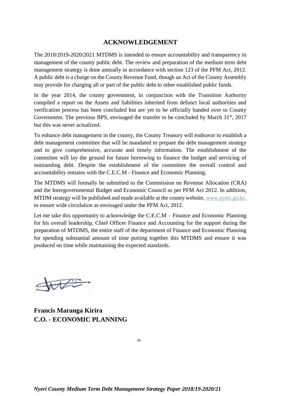# **ACKNOWLEDGEMENT**

<span id="page-3-0"></span>The 2018/2019-2020/2021 MTDMS is intended to ensure accountability and transparency in management of the county public debt. The review and preparation of the medium term debt management strategy is done annually in accordance with section 123 of the PFM Act, 2012. A public debt is a charge on the County Revenue Fund, though an Act of the County Assembly may provide for charging all or part of the public debt to other established public funds.

In the year 2014, the county government, in conjunction with the Transition Authority compiled a report on the Assets and liabilities inherited from defunct local authorities and verification process has been concluded but are yet to be officially handed over to County Government. The previous BPS, envisaged the transfer to be concluded by March  $31<sup>st</sup>$ , 2017 but this was never actualized.

To enhance debt management in the county, the County Treasury will endeavor to establish a debt management committee that will be mandated to prepare the debt management strategy and to give comprehensive, accurate and timely information. The establishment of the committee will lay the ground for future borrowing to finance the budget and servicing of outstanding debt. Despite the establishment of the committee the overall control and accountability remains with the C.E.C.M - Finance and Economic Planning.

The MTDMS will formally be submitted to the Commission on Revenue Allocation (CRA) and the Intergovernmental Budget and Economic Council as per PFM Act 2012. In addition, MTDM strategy will be published and made available at the county website, [www.nyeri.go.ke,](http://www.nyeri.go.ke/) to ensure wide circulation as envisaged under the PFM Act, 2012.

Let me take this opportunity to acknowledge the C.E.C.M – Finance and Economic Planning for his overall leadership, Chief Officer Finance and Accounting for the support during the preparation of MTDMS, the entire staff of the department of Finance and Economic Planning for spending substantial amount of time putting together this MTDMS and ensure it was produced on time while maintaining the expected standards.

tothe

**Francis Maranga Kirira C.O. - ECONOMIC PLANNING**

iv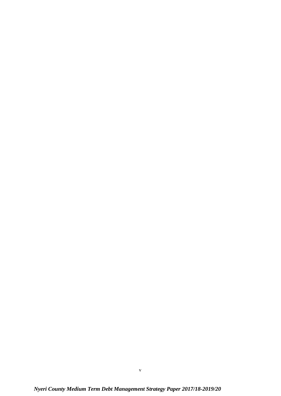*Nyeri County Medium Term Debt Management Strategy Paper 2017/18-2019/20*

v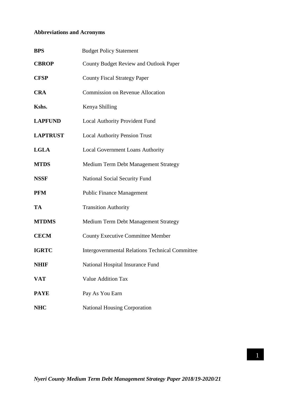# <span id="page-6-0"></span>**Abbreviations and Acronyms**

| <b>BPS</b>      | <b>Budget Policy Statement</b>                         |
|-----------------|--------------------------------------------------------|
| <b>CBROP</b>    | <b>County Budget Review and Outlook Paper</b>          |
| <b>CFSP</b>     | <b>County Fiscal Strategy Paper</b>                    |
| <b>CRA</b>      | <b>Commission on Revenue Allocation</b>                |
| Kshs.           | Kenya Shilling                                         |
| <b>LAPFUND</b>  | <b>Local Authority Provident Fund</b>                  |
| <b>LAPTRUST</b> | <b>Local Authority Pension Trust</b>                   |
| <b>LGLA</b>     | <b>Local Government Loans Authority</b>                |
| <b>MTDS</b>     | Medium Term Debt Management Strategy                   |
| <b>NSSF</b>     | <b>National Social Security Fund</b>                   |
| <b>PFM</b>      | <b>Public Finance Management</b>                       |
| <b>TA</b>       | <b>Transition Authority</b>                            |
| <b>MTDMS</b>    | Medium Term Debt Management Strategy                   |
| <b>CECM</b>     | <b>County Executive Committee Member</b>               |
| <b>IGRTC</b>    | <b>Intergovernmental Relations Technical Committee</b> |
| <b>NHIF</b>     | National Hospital Insurance Fund                       |
| <b>VAT</b>      | <b>Value Addition Tax</b>                              |
| <b>PAYE</b>     | Pay As You Earn                                        |
| <b>NHC</b>      | National Housing Corporation                           |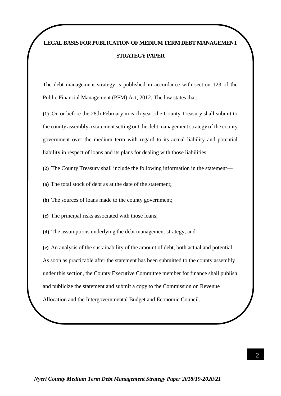# **LEGAL BASIS FOR PUBLICATION OF MEDIUM TERM DEBT MANAGEMENT STRATEGY PAPER**

The debt management strategy is published in accordance with section 123 of the Public Financial Management (PFM) Act, 2012. The law states that:

**(1)** On or before the 28th February in each year, the County Treasury shall submit to the county assembly a statement setting out the debt management strategy of the county government over the medium term with regard to its actual liability and potential liability in respect of loans and its plans for dealing with those liabilities.

- **(2)** The County Treasury shall include the following information in the statement—
- **(a)** The total stock of debt as at the date of the statement;
- **(b)** The sources of loans made to the county government;
- **(c)** The principal risks associated with those loans;
- **(d)** The assumptions underlying the debt management strategy; and

**(e)** An analysis of the sustainability of the amount of debt, both actual and potential. As soon as practicable after the statement has been submitted to the county assembly under this section, the County Executive Committee member for finance shall publish and publicize the statement and submit a copy to the Commission on Revenue Allocation and the Intergovernmental Budget and Economic Council.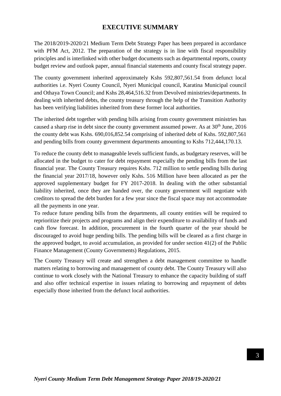# **EXECUTIVE SUMMARY**

<span id="page-8-0"></span>The 2018/2019-2020/21 Medium Term Debt Strategy Paper has been prepared in accordance with PFM Act, 2012. The preparation of the strategy is in line with fiscal responsibility principles and is interlinked with other budget documents such as departmental reports, county budget review and outlook paper, annual financial statements and county fiscal strategy paper.

The county government inherited approximately Kshs 592,807,561.54 from defunct local authorities i.e. Nyeri County Council, Nyeri Municipal council, Karatina Municipal council and Othaya Town Council; and Kshs 28,464,516.32 from Devolved ministries/departments. In dealing with inherited debts, the county treasury through the help of the Transition Authority has been verifying liabilities inherited from these former local authorities.

The inherited debt together with pending bills arising from county government ministries has caused a sharp rise in debt since the county government assumed power. As at  $30<sup>th</sup>$  June, 2016 the county debt was Kshs. 690,016,852.54 comprising of inherited debt of Kshs. 592,807,561 and pending bills from county government departments amounting to Kshs 712,444,170.13.

To reduce the county debt to manageable levels sufficient funds, as budgetary reserves, will be allocated in the budget to cater for debt repayment especially the pending bills from the last financial year. The County Treasury requires Kshs. 712 million to settle pending bills during the financial year 2017/18, however only Kshs. 516 Million have been allocated as per the approved supplementary budget for FY 2017-2018. In dealing with the other substantial liability inherited, once they are handed over, the county government will negotiate with creditors to spread the debt burden for a few year since the fiscal space may not accommodate all the payments in one year.

To reduce future pending bills from the departments, all county entities will be required to reprioritize their projects and programs and align their expenditure to availability of funds and cash flow forecast. In addition, procurement in the fourth quarter of the year should be discouraged to avoid huge pending bills. The pending bills will be cleared as a first charge in the approved budget, to avoid accumulation, as provided for under section 41(2) of the Public Finance Management (County Governments) Regulations, 2015.

The County Treasury will create and strengthen a debt management committee to handle matters relating to borrowing and management of county debt. The County Treasury will also continue to work closely with the National Treasury to enhance the capacity building of staff and also offer technical expertise in issues relating to borrowing and repayment of debts especially those inherited from the defunct local authorities.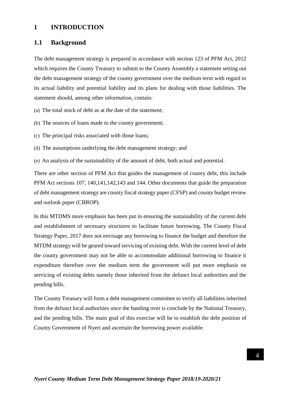# <span id="page-9-0"></span>**1 INTRODUCTION**

#### <span id="page-9-1"></span>**1.1 Background**

The debt management strategy is prepared in accordance with section 123 of PFM Act, 2012 which requires the County Treasury to submit to the County Assembly a statement setting out the debt management strategy of the county government over the medium term with regard to its actual liability and potential liability and its plans for dealing with those liabilities. The statement should, among other information, contain:

(a) The total stock of debt as at the date of the statement;

- (b) The sources of loans made to the county government;
- (c) The principal risks associated with those loans;
- (d) The assumptions underlying the debt management strategy; and
- (e) An analysis of the sustainability of the amount of debt, both actual and potential.

There are other section of PFM Act that guides the management of county debt, this include PFM Act sections 107, 140,141,142,143 and 144. Other documents that guide the preparation of debt management strategy are county fiscal strategy paper (CFSP) and county budget review and outlook paper (CBROP).

In this MTDMS more emphasis has been put in ensuring the sustainability of the current debt and establishment of necessary structures to facilitate future borrowing. The County Fiscal Strategy Paper, 2017 does not envisage any borrowing to finance the budget and therefore the MTDM strategy will be geared toward servicing of existing debt. With the current level of debt the county government may not be able to accommodate additional borrowing to finance it expenditure therefore over the medium term the government will put more emphasis on servicing of existing debts namely those inherited from the defunct local authorities and the pending bills.

The County Treasury will form a debt management committee to verify all liabilities inherited from the defunct local authorities once the handing over is conclude by the National Treasury, and the pending bills. The main goal of this exercise will be to establish the debt position of County Government of Nyeri and ascertain the borrowing power available.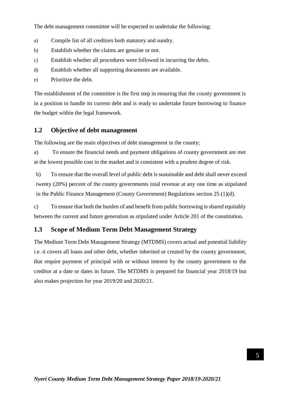The debt management committee will be expected to undertake the following;

- a) Compile list of all creditors both statutory and sundry.
- b) Establish whether the claims are genuine or not.
- c) Establish whether all procedures were followed in incurring the debts.
- d) Establish whether all supporting documents are available.
- e) Prioritize the debt.

The establishment of the committee is the first step in ensuring that the county government is in a position to handle its current debt and is ready to undertake future borrowing to finance the budget within the legal framework.

# <span id="page-10-0"></span>**1.2 Objective of debt management**

The following are the main objectives of debt management in the county;

a) To ensure the financial needs and payment obligations of county government are met at the lowest possible cost in the market and is consistent with a prudent degree of risk.

b) To ensure that the overall level of public debt is sustainable and debt shall never exceed twenty (20%) percent of the county governments total revenue at any one time as stipulated in the Public Finance Management (County Government) Regulations section 25 (1)(d).

c) To ensure that both the burden of and benefit from public borrowing is shared equitably between the current and future generation as stipulated under Article 201 of the constitution.

# <span id="page-10-1"></span>**1.3 Scope of Medium Term Debt Management Strategy**

The Medium Term Debt Management Strategy (MTDMS) covers actual and potential liability i.e. it covers all loans and other debt, whether inherited or created by the county government, that require payment of principal with or without interest by the county government to the creditor at a date or dates in future. The MTDMS is prepared for financial year 2018/19 but also makes projection for year 2019/20 and 2020/21.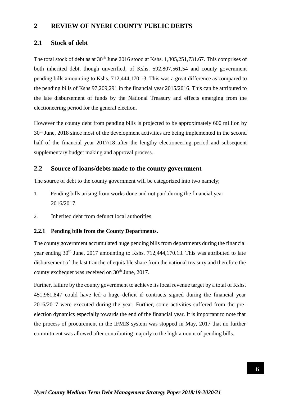# <span id="page-11-0"></span>**2 REVIEW OF NYERI COUNTY PUBLIC DEBTS**

## <span id="page-11-1"></span>**2.1 Stock of debt**

The total stock of debt as at 30<sup>th</sup> June 2016 stood at Kshs. 1,305,251,731.67. This comprises of both inherited debt, though unverified, of Kshs. 592,807,561.54 and county government pending bills amounting to Kshs. 712,444,170.13. This was a great difference as compared to the pending bills of Kshs 97,209,291 in the financial year 2015/2016. This can be attributed to the late disbursement of funds by the National Treasury and effects emerging from the electioneering period for the general election.

However the county debt from pending bills is projected to be approximately 600 million by 30<sup>th</sup> June, 2018 since most of the development activities are being implemented in the second half of the financial year 2017/18 after the lengthy electioneering period and subsequent supplementary budget making and approval process.

## <span id="page-11-2"></span>**2.2 Source of loans/debts made to the county government**

The source of debt to the county government will be categorized into two namely;

- 1. Pending bills arising from works done and not paid during the financial year 2016/2017.
- 2. Inherited debt from defunct local authorities

#### <span id="page-11-3"></span>**2.2.1 Pending bills from the County Departments.**

The county government accumulated huge pending bills from departments during the financial year ending 30<sup>th</sup> June, 2017 amounting to Kshs. 712,444,170.13. This was attributed to late disbursement of the last tranche of equitable share from the national treasury and therefore the county exchequer was received on  $30<sup>th</sup>$  June, 2017.

Further, failure by the county government to achieve its local revenue target by a total of Kshs. 451,961,847 could have led a huge deficit if contracts signed during the financial year 2016/2017 were executed during the year. Further, some activities suffered from the preelection dynamics especially towards the end of the financial year. It is important to note that the process of procurement in the IFMIS system was stopped in May, 2017 that no further commitment was allowed after contributing majorly to the high amount of pending bills.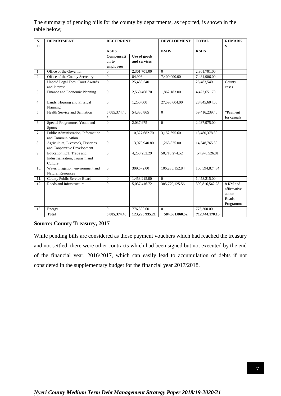The summary of pending bills for the county by departments, as reported, is shown in the table below;

| $\mathbf N$      | <b>DEPARTMENT</b>                                                     | <b>RECURRENT</b>       |                              | <b>DEVELOPMENT</b> | <b>TOTAL</b>   | <b>REMARK</b>                                           |
|------------------|-----------------------------------------------------------------------|------------------------|------------------------------|--------------------|----------------|---------------------------------------------------------|
| <b>O.</b>        |                                                                       |                        |                              |                    |                | S                                                       |
|                  |                                                                       | <b>KSHS</b>            |                              | <b>KSHS</b>        | <b>KSHS</b>    |                                                         |
|                  |                                                                       | Compensati<br>on to    | Use of goods<br>and services |                    |                |                                                         |
|                  |                                                                       | employees              |                              |                    |                |                                                         |
| 1.               | Office of the Governor                                                | $\Omega$               | 2,301,701.00                 | $\Omega$           | 2,301,701.00   |                                                         |
| $\overline{2}$ . | Office of the County Secretary                                        | $\Omega$               | 84,906                       | 7,400,000.00       | 7,484,906.00   |                                                         |
|                  | Unpaid Legal Fees, Court Awards<br>and Interest                       | $\overline{0}$         | 25,483,540                   |                    | 25,483,540     | County<br>cases                                         |
| 3.               | Finance and Economic Planning                                         | $\Omega$               | 2,560,468.70                 | 1,862,183.00       | 4,422,651.70   |                                                         |
| 4.               | Lands, Housing and Physical<br>Planning                               | $\Omega$               | 1,250,000                    | 27,595,604.00      | 28,845,604.00  |                                                         |
| 5 <sub>1</sub>   | <b>Health Service and Sanitation</b>                                  | 5,085,374.40<br>$\ast$ | 54,330,865                   | $\Omega$           | 59,416,239.40  | *Payment<br>for casuals                                 |
| 6.               | Special Programmes Youth and<br><b>Sports</b>                         | $\Omega$               | 2,037,975                    | $\Omega$           | 2,037,975.00   |                                                         |
| 7.               | Public Administration, Information<br>and Communication               | $\Omega$               | 10,327,682.70                | 3,152,695.60       | 13,480,378.30  |                                                         |
| 8.               | Agriculture, Livestock, Fisheries<br>and Cooperative Development      | $\Omega$               | 13,079,940.80                | 1,268,825.00       | 14,348,765.80  |                                                         |
| 9.               | Education ICT, Trade and<br>Industrialization, Tourism and<br>Culture | $\overline{0}$         | 4,258,252.29                 | 50,718,274.52      | 54,976,526.81  |                                                         |
| 10.              | Water, Irrigation, environment and<br><b>Natural Resources</b>        | $\Omega$               | 309,672.00                   | 106,285,152.84     | 106,594,824.84 |                                                         |
| 11.              | County Public Service Board                                           | $\Omega$               | 1,458,215.00                 | $\Omega$           | 1,458,215.00   |                                                         |
| 12.              | Roads and Infrastructure                                              | $\Omega$               | 5,037,416.72                 | 385,779,125.56     | 390,816,542.28 | 8 KM and<br>affirmative<br>action<br>Roads<br>Programme |
| 13.              | Energy                                                                | $\Omega$               | 776,300.00                   | $\Omega$           | 776,300.00     |                                                         |
|                  | <b>Total</b>                                                          | 5,085,374.40           | 123,296,935.21               | 584,061,860.52     | 712,444,170.13 |                                                         |

#### **Source: County Treasury, 2017**

While pending bills are considered as those payment vouchers which had reached the treasury and not settled, there were other contracts which had been signed but not executed by the end of the financial year, 2016/2017, which can easily lead to accumulation of debts if not considered in the supplementary budget for the financial year 2017/2018.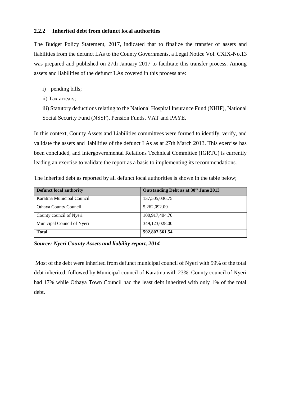#### <span id="page-13-0"></span>**2.2.2 Inherited debt from defunct local authorities**

The Budget Policy Statement, 2017, indicated that to finalize the transfer of assets and liabilities from the defunct LAs to the County Governments, a Legal Notice Vol. CXIX-No.13 was prepared and published on 27th January 2017 to facilitate this transfer process. Among assets and liabilities of the defunct LAs covered in this process are:

- i) pending bills;
- ii) Tax arrears;

iii) Statutory deductions relating to the National Hospital Insurance Fund (NHIF), National Social Security Fund (NSSF), Pension Funds, VAT and PAYE.

In this context, County Assets and Liabilities committees were formed to identify, verify, and validate the assets and liabilities of the defunct LAs as at 27th March 2013. This exercise has been concluded, and Intergovernmental Relations Technical Committee (IGRTC) is currently leading an exercise to validate the report as a basis to implementing its recommendations.

|  | The inherited debt as reported by all defunct local authorities is shown in the table below; |  |
|--|----------------------------------------------------------------------------------------------|--|

| <b>Defunct local authority</b> | Outstanding Debt as at 30 <sup>th</sup> June 2013 |
|--------------------------------|---------------------------------------------------|
| Karatina Municipal Council     | 137,505,036.75                                    |
| <b>Othaya County Council</b>   | 5,262,092.09                                      |
| County council of Nyeri        | 100,917,404.70                                    |
| Municipal Council of Nyeri     | 349,123,028.00                                    |
| <b>Total</b>                   | 592,807,561.54                                    |

*Source: Nyeri County Assets and liability report, 2014*

Most of the debt were inherited from defunct municipal council of Nyeri with 59% of the total debt inherited, followed by Municipal council of Karatina with 23%. County council of Nyeri had 17% while Othaya Town Council had the least debt inherited with only 1% of the total debt.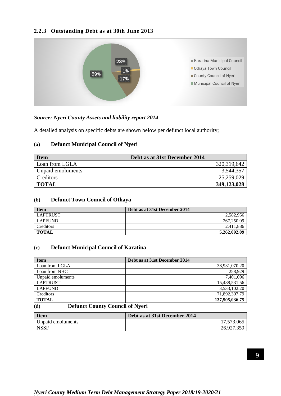#### <span id="page-14-0"></span>**2.2.3 Outstanding Debt as at 30th June 2013**



#### *Source: Nyeri County Assets and liability report 2014*

A detailed analysis on specific debts are shown below per defunct local authority;

#### **(a) Defunct Municipal Council of Nyeri**

| <b>Item</b>       | Debt as at 31st December 2014 |
|-------------------|-------------------------------|
| Loan from LGLA    | 320, 319, 642                 |
| Unpaid emoluments | 3,544,357                     |
| Creditors         | 25,259,029                    |
| <b>TOTAL</b>      | 349,123,028                   |

#### **(b) Defunct Town Council of Othaya**

| <b>Item</b>     | Debt as at 31st December 2014 |
|-----------------|-------------------------------|
| <b>LAPTRUST</b> | 2,582,956                     |
| <b>LAPFUND</b>  | 267,250.09                    |
| Creditors       | 2,411,886                     |
| <b>TOTAL</b>    | 5,262,092.09                  |

#### **(c) Defunct Municipal Council of Karatina**

| 38,931,070.20  |
|----------------|
|                |
| 258,929        |
| 7,401,096      |
| 15,488,531.56  |
| 3,533,102.20   |
| 71,892,307.79  |
| 137,505,036.75 |
| $\bullet$ .    |

#### **(d) Defunct County Council of Nyeri**

| <b>Item</b>       | Debt as at 31st December 2014 |
|-------------------|-------------------------------|
| Unpaid emoluments | 17,573,065                    |
| <b>NSSF</b>       | 26,927,359                    |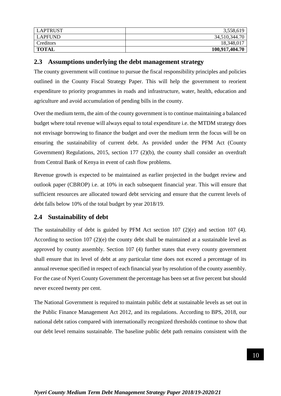| LAPTRUST         | 3,558,619      |
|------------------|----------------|
| <b>LAPFUND</b>   | 34,510,344.70  |
| <b>Creditors</b> | 18,348,017     |
| <b>TOTAL</b>     | 100,917,404.70 |

## <span id="page-15-0"></span>**2.3 Assumptions underlying the debt management strategy**

The county government will continue to pursue the fiscal responsibility principles and policies outlined in the County Fiscal Strategy Paper. This will help the government to reorient expenditure to priority programmes in roads and infrastructure, water, health, education and agriculture and avoid accumulation of pending bills in the county.

Over the medium term, the aim of the county government is to continue maintaining a balanced budget where total revenue will always equal to total expenditure i.e. the MTDM strategy does not envisage borrowing to finance the budget and over the medium term the focus will be on ensuring the sustainability of current debt. As provided under the PFM Act (County Government) Regulations, 2015, section 177 (2)(b), the county shall consider an overdraft from Central Bank of Kenya in event of cash flow problems.

Revenue growth is expected to be maintained as earlier projected in the budget review and outlook paper (CBROP) i.e. at 10% in each subsequent financial year. This will ensure that sufficient resources are allocated toward debt servicing and ensure that the current levels of debt falls below 10% of the total budget by year 2018/19.

## <span id="page-15-1"></span>**2.4 Sustainability of debt**

The sustainability of debt is guided by PFM Act section 107 (2)(e) and section 107 (4). According to section 107 (2)(e) the county debt shall be maintained at a sustainable level as approved by county assembly. Section 107 (4) further states that every county government shall ensure that its level of debt at any particular time does not exceed a percentage of its annual revenue specified in respect of each financial year by resolution of the county assembly. For the case of Nyeri County Government the percentage has been set at five percent but should never exceed twenty per cent.

The National Government is required to maintain public debt at sustainable levels as set out in the Public Finance Management Act 2012, and its regulations. According to BPS, 2018, our national debt ratios compared with internationally recognized thresholds continue to show that our debt level remains sustainable. The baseline public debt path remains consistent with the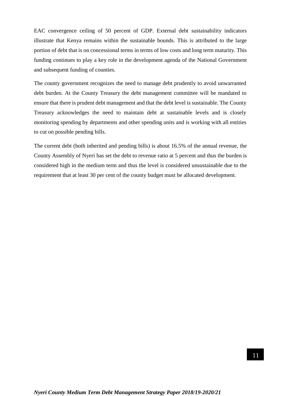EAC convergence ceiling of 50 percent of GDP. External debt sustainability indicators illustrate that Kenya remains within the sustainable bounds. This is attributed to the large portion of debt that is on concessional terms in terms of low costs and long term maturity. This funding continues to play a key role in the development agenda of the National Government and subsequent funding of counties.

The county government recognizes the need to manage debt prudently to avoid unwarranted debt burden. At the County Treasury the debt management committee will be mandated to ensure that there is prudent debt management and that the debt level is sustainable. The County Treasury acknowledges the need to maintain debt at sustainable levels and is closely monitoring spending by departments and other spending units and is working with all entities to cut on possible pending bills.

<span id="page-16-0"></span>The current debt (both inherited and pending bills) is about 16.5% of the annual revenue, the County Assembly of Nyeri has set the debt to revenue ratio at 5 percent and thus the burden is considered high in the medium term and thus the level is considered unsustainable due to the requirement that at least 30 per cent of the county budget must be allocated development.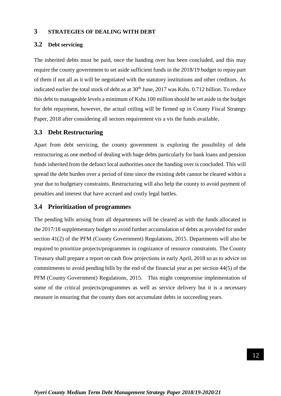#### **3 STRATEGIES OF DEALING WITH DEBT**

#### <span id="page-17-0"></span>**3.2 Debt servicing**

The inherited debts must be paid, once the handing over has been concluded, and this may require the county government to set aside sufficient funds in the 2018/19 budget to repay part of them if not all as it will be negotiated with the statutory institutions and other creditors. As indicated earlier the total stock of debt as at 30<sup>th</sup> June, 2017 was Kshs. 0.712 billion. To reduce this debt to manageable levels a minimum of Kshs 100 million should be set aside in the budget for debt repayment, however, the actual ceiling will be firmed up in County Fiscal Strategy Paper, 2018 after considering all sectors requirement vis a vis the funds available.

#### <span id="page-17-1"></span>**3.3 Debt Restructuring**

Apart from debt servicing, the county government is exploring the possibility of debt restructuring as one method of dealing with huge debts particularly for bank loans and pension funds inherited from the defunct local authorities once the handing over is concluded. This will spread the debt burden over a period of time since the existing debt cannot be cleared within a year due to budgetary constraints. Restructuring will also help the county to avoid payment of penalties and interest that have accrued and costly legal battles.

#### <span id="page-17-2"></span>**3.4 Prioritization of programmes**

The pending bills arising from all departments will be cleared as with the funds allocated in the 2017/18 supplementary budget to avoid further accumulation of debts as provided for under section 41(2) of the PFM (County Government) Regulations, 2015. Departments will also be required to prioritize projects/programmes in cognizance of resource constraints. The County Treasury shall prepare a report on cash flow projections in early April, 2018 so as to advice on commitments to avoid pending bills by the end of the financial year as per section 44(5) of the PFM (County Government) Regulations, 2015. This might compromise implementation of some of the critical projects/programmes as well as service delivery but it is a necessary measure in ensuring that the county does not accumulate debts in succeeding years.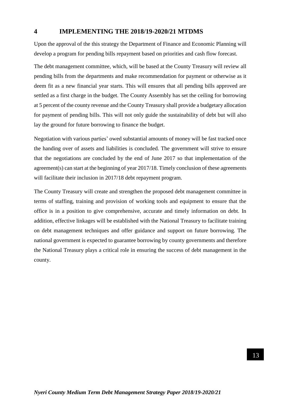#### <span id="page-18-0"></span>**4 IMPLEMENTING THE 2018/19-2020/21 MTDMS**

Upon the approval of the this strategy the Department of Finance and Economic Planning will develop a program for pending bills repayment based on priorities and cash flow forecast.

The debt management committee, which, will be based at the County Treasury will review all pending bills from the departments and make recommendation for payment or otherwise as it deem fit as a new financial year starts. This will ensures that all pending bills approved are settled as a first charge in the budget. The County Assembly has set the ceiling for borrowing at 5 percent of the county revenue and the County Treasury shall provide a budgetary allocation for payment of pending bills. This will not only guide the sustainability of debt but will also lay the ground for future borrowing to finance the budget.

Negotiation with various parties' owed substantial amounts of money will be fast tracked once the handing over of assets and liabilities is concluded. The government will strive to ensure that the negotiations are concluded by the end of June 2017 so that implementation of the agreement(s) can start at the beginning of year 2017/18. Timely conclusion of these agreements will facilitate their inclusion in 2017/18 debt repayment program.

The County Treasury will create and strengthen the proposed debt management committee in terms of staffing, training and provision of working tools and equipment to ensure that the office is in a position to give comprehensive, accurate and timely information on debt. In addition, effective linkages will be established with the National Treasury to facilitate training on debt management techniques and offer guidance and support on future borrowing. The national government is expected to guarantee borrowing by county governments and therefore the National Treasury plays a critical role in ensuring the success of debt management in the county.